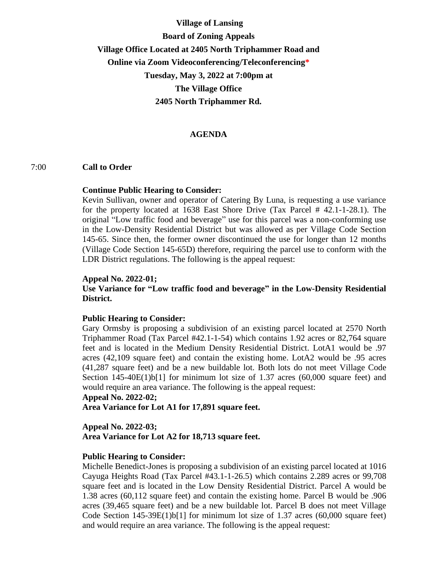# **Village of Lansing Board of Zoning Appeals Village Office Located at 2405 North Triphammer Road and Online via Zoom Videoconferencing/Teleconferencing\* Tuesday, May 3, 2022 at 7:00pm at The Village Office 2405 North Triphammer Rd.**

### **AGENDA**

#### 7:00 **Call to Order**

#### **Continue Public Hearing to Consider:**

Kevin Sullivan, owner and operator of Catering By Luna, is requesting a use variance for the property located at 1638 East Shore Drive (Tax Parcel # 42.1-1-28.1). The original "Low traffic food and beverage" use for this parcel was a non-conforming use in the Low-Density Residential District but was allowed as per Village Code Section 145-65. Since then, the former owner discontinued the use for longer than 12 months (Village Code Section 145-65D) therefore, requiring the parcel use to conform with the LDR District regulations. The following is the appeal request:

#### **Appeal No. 2022-01;**

## **Use Variance for "Low traffic food and beverage" in the Low-Density Residential District.**

#### **Public Hearing to Consider:**

Gary Ormsby is proposing a subdivision of an existing parcel located at 2570 North Triphammer Road (Tax Parcel #42.1-1-54) which contains 1.92 acres or 82,764 square feet and is located in the Medium Density Residential District. LotA1 would be .97 acres (42,109 square feet) and contain the existing home. LotA2 would be .95 acres (41,287 square feet) and be a new buildable lot. Both lots do not meet Village Code Section  $145-40E(1)b[1]$  for minimum lot size of 1.37 acres (60,000 square feet) and would require an area variance. The following is the appeal request:

#### **Appeal No. 2022-02;**

**Area Variance for Lot A1 for 17,891 square feet.**

#### **Appeal No. 2022-03;**

**Area Variance for Lot A2 for 18,713 square feet.**

#### **Public Hearing to Consider:**

Michelle Benedict-Jones is proposing a subdivision of an existing parcel located at 1016 Cayuga Heights Road (Tax Parcel #43.1-1-26.5) which contains 2.289 acres or 99,708 square feet and is located in the Low Density Residential District. Parcel A would be 1.38 acres (60,112 square feet) and contain the existing home. Parcel B would be .906 acres (39,465 square feet) and be a new buildable lot. Parcel B does not meet Village Code Section  $145-39E(1)b[1]$  for minimum lot size of 1.37 acres (60,000 square feet) and would require an area variance. The following is the appeal request: